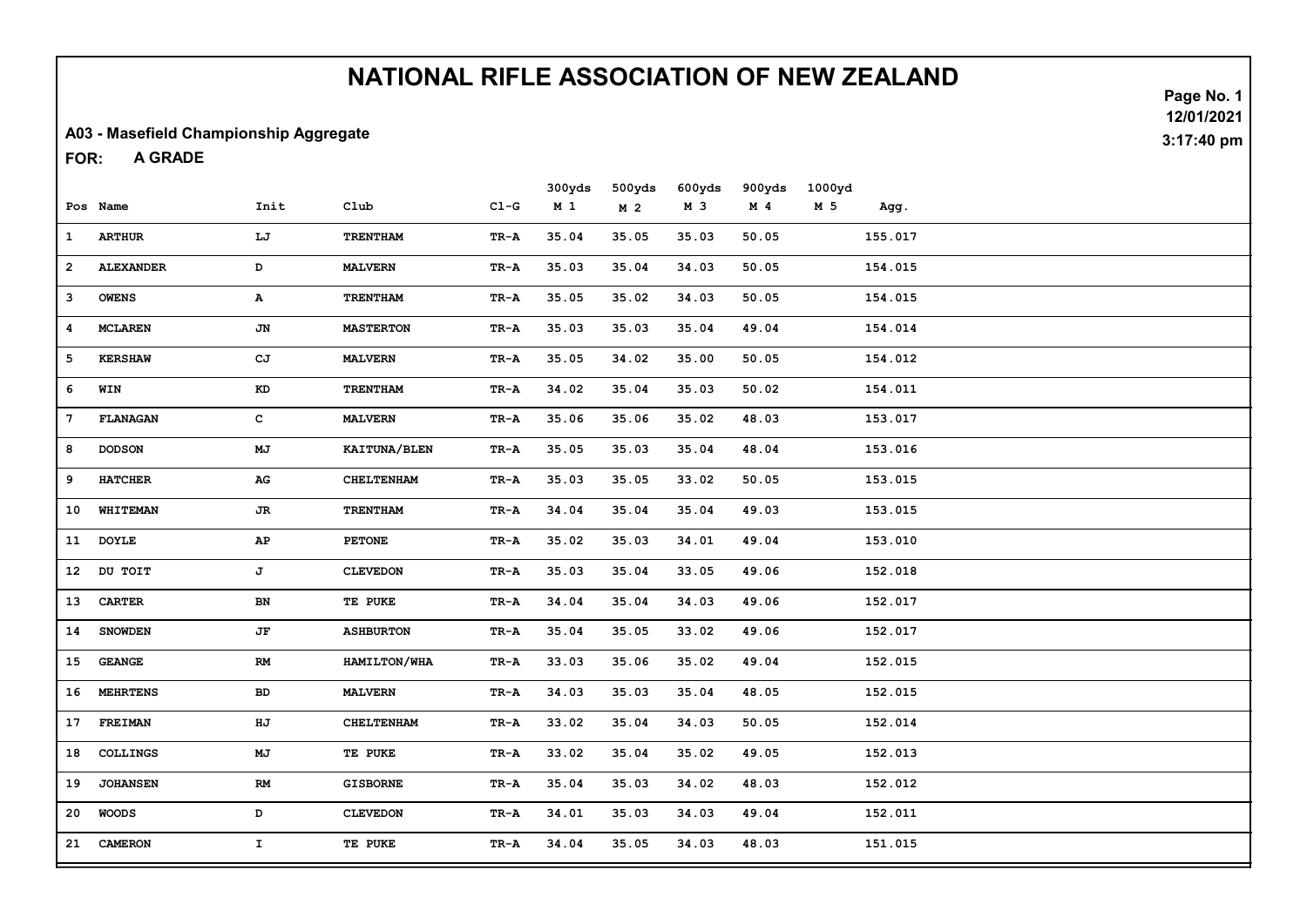#### A03 - Masefield Championship Aggregate

A GRADE FOR:

|              | Pos Name         | Init                   | Club              | $CL-G$                            | 300yds<br>M <sub>1</sub> | 500yds<br>M <sub>2</sub> | 600yds<br>M 3 | 900yds<br>M <sub>4</sub> | 1000yd<br>M 5 | Agg.    |  |
|--------------|------------------|------------------------|-------------------|-----------------------------------|--------------------------|--------------------------|---------------|--------------------------|---------------|---------|--|
| $\mathbf{1}$ | <b>ARTHUR</b>    | LJ                     | <b>TRENTHAM</b>   | TR-A                              | 35.04                    | 35.05                    | 35.03         | 50.05                    |               | 155.017 |  |
| $\mathbf{2}$ | <b>ALEXANDER</b> | D                      | <b>MALVERN</b>    | TR-A                              | 35.03                    | 35.04                    | 34.03         | 50.05                    |               | 154.015 |  |
| з            | <b>OWENS</b>     | А                      | <b>TRENTHAM</b>   | $\mathbf{T}\mathbf{R}-\mathbf{A}$ | 35.05                    | 35.02                    | 34.03         | 50.05                    |               | 154.015 |  |
| 4            | <b>MCLAREN</b>   | JN                     | <b>MASTERTON</b>  | TR-A                              | 35.03                    | 35.03                    | 35.04         | 49.04                    |               | 154.014 |  |
| 5            | <b>KERSHAW</b>   | CJ                     | <b>MALVERN</b>    | TR-A                              | 35.05                    | 34.02                    | 35.00         | 50.05                    |               | 154.012 |  |
| 6            | WIN              | $\mathbf{KD}$          | <b>TRENTHAM</b>   | TR-A                              | 34.02                    | 35.04                    | 35.03         | 50.02                    |               | 154.011 |  |
| 7            | FLANAGAN         | c                      | <b>MALVERN</b>    | TR-A                              | 35.06                    | 35.06                    | 35.02         | 48.03                    |               | 153.017 |  |
| 8            | <b>DODSON</b>    | MJ                     | KAITUNA/BLEN      | TR-A                              | 35.05                    | 35.03                    | 35.04         | 48.04                    |               | 153.016 |  |
| 9            | <b>HATCHER</b>   | ${\bf AG}$             | <b>CHELTENHAM</b> | TR-A                              | 35.03                    | 35.05                    | 33.02         | 50.05                    |               | 153.015 |  |
| 10           | WHITEMAN         | $J\mathbf{R}$          | TRENTHAM          | TR-A                              | 34.04                    | 35.04                    | 35.04         | 49.03                    |               | 153.015 |  |
|              | 11 DOYLE         | ${\bf AP}$             | <b>PETONE</b>     | TR-A                              | 35.02                    | 35.03                    | 34.01         | 49.04                    |               | 153.010 |  |
|              | 12 DU TOIT       | J                      | <b>CLEVEDON</b>   | TR-A                              | 35.03                    | 35.04                    | 33.05         | 49.06                    |               | 152.018 |  |
| 13           | <b>CARTER</b>    | BN                     | TE PUKE           | TR-A                              | 34.04                    | 35.04                    | 34.03         | 49.06                    |               | 152.017 |  |
| 14           | <b>SNOWDEN</b>   | JF                     | <b>ASHBURTON</b>  | TR-A                              | 35.04                    | 35.05                    | 33.02         | 49.06                    |               | 152.017 |  |
| 15           | <b>GEANGE</b>    | $\mathbf{RM}$          | HAMILTON/WHA      | $\mathbf{T}\mathbf{R}-\mathbf{A}$ | 33.03                    | 35.06                    | 35.02         | 49.04                    |               | 152.015 |  |
| 16           | <b>MEHRTENS</b>  | <b>BD</b>              | <b>MALVERN</b>    | $TR - A$                          | 34.03                    | 35.03                    | 35.04         | 48.05                    |               | 152.015 |  |
|              | 17 FREIMAN       | HJ                     | <b>CHELTENHAM</b> | TR-A                              | 33.02                    | 35.04                    | 34.03         | 50.05                    |               | 152.014 |  |
| 18           | <b>COLLINGS</b>  | $\mathbf{M}\mathbf{J}$ | TE PUKE           | TR-A                              | 33.02                    | 35.04                    | 35.02         | 49.05                    |               | 152.013 |  |
| 19           | <b>JOHANSEN</b>  | RM                     | <b>GISBORNE</b>   | TR-A                              | 35.04                    | 35.03                    | 34.02         | 48.03                    |               | 152.012 |  |
| 20           | WOODS            | D                      | <b>CLEVEDON</b>   | TR-A                              | 34.01                    | 35.03                    | 34.03         | 49.04                    |               | 152.011 |  |
| 21           | <b>CAMERON</b>   | $\mathbf{I}^-$         | TE PUKE           | $TR - A$                          | 34.04                    | 35.05                    | 34.03         | 48.03                    |               | 151.015 |  |

Page No. 1 12/01/2021 3:17:40 pm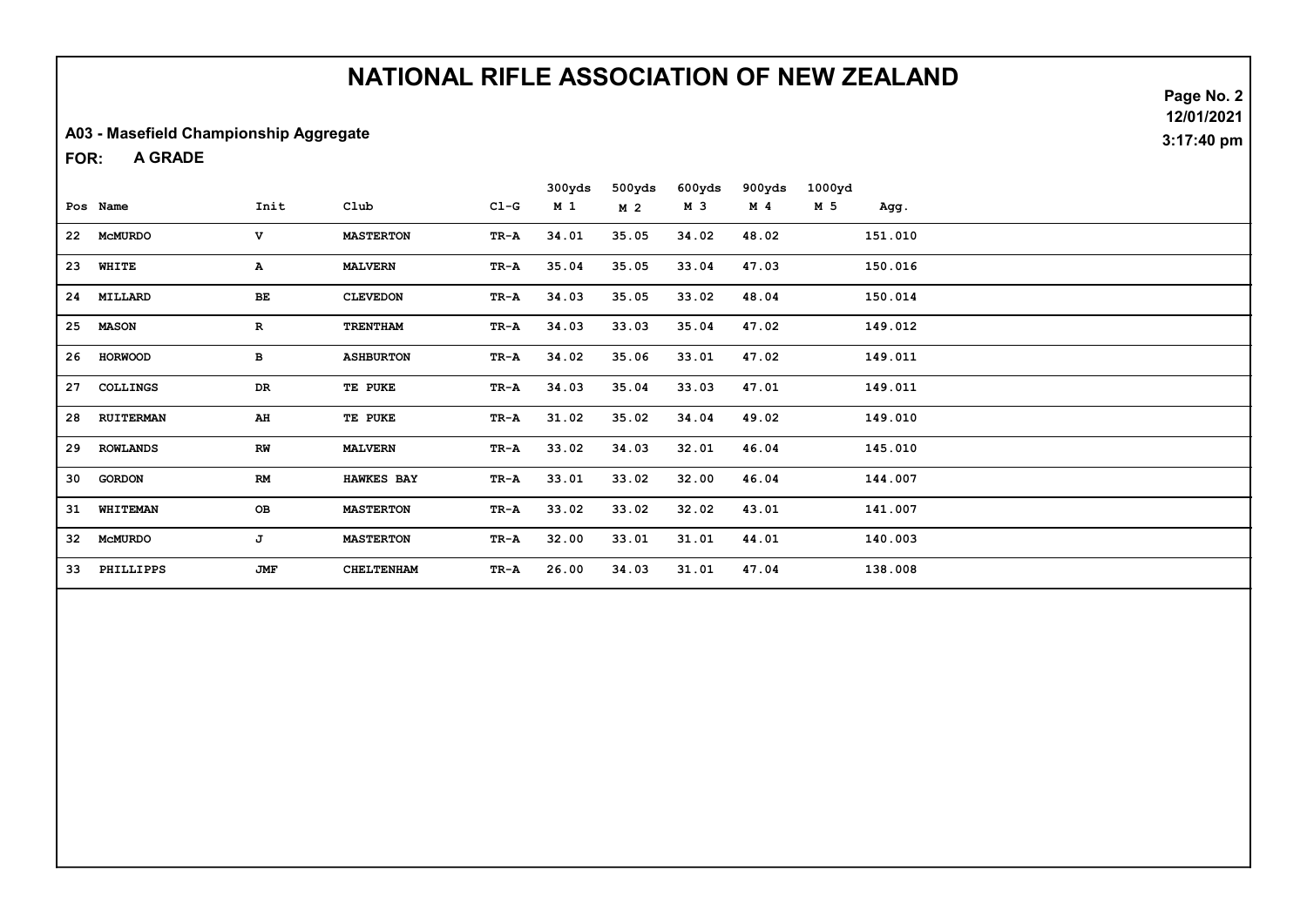#### A03 - Masefield Championship Aggregate

A GRADE FOR:

|    |                  |              |                   |        | 300yds         | 500yds         | 600yds | 900yds         | 1000yd |         |  |
|----|------------------|--------------|-------------------|--------|----------------|----------------|--------|----------------|--------|---------|--|
|    | Pos Name         | Init         | Club              | $CL-G$ | M <sub>1</sub> | M <sub>2</sub> | M 3    | M <sub>4</sub> | M 5    | Agg.    |  |
| 22 | MCMURDO          | $\mathbf{v}$ | <b>MASTERTON</b>  | TR-A   | 34.01          | 35.05          | 34.02  | 48.02          |        | 151.010 |  |
| 23 | WHITE            | A            | <b>MALVERN</b>    | TR-A   | 35.04          | 35.05          | 33.04  | 47.03          |        | 150.016 |  |
| 24 | MILLARD          | ВE           | <b>CLEVEDON</b>   | TR-A   | 34.03          | 35.05          | 33.02  | 48.04          |        | 150.014 |  |
| 25 | <b>MASON</b>     | $\mathbf{R}$ | <b>TRENTHAM</b>   | TR-A   | 34.03          | 33.03          | 35.04  | 47.02          |        | 149.012 |  |
| 26 | <b>HORWOOD</b>   | в            | <b>ASHBURTON</b>  | TR-A   | 34.02          | 35.06          | 33.01  | 47.02          |        | 149.011 |  |
| 27 | <b>COLLINGS</b>  | DR           | TE PUKE           | TR-A   | 34.03          | 35.04          | 33.03  | 47.01          |        | 149.011 |  |
| 28 | <b>RUITERMAN</b> | AH           | TE PUKE           | TR-A   | 31.02          | 35.02          | 34.04  | 49.02          |        | 149.010 |  |
| 29 | <b>ROWLANDS</b>  | RW           | <b>MALVERN</b>    | TR-A   | 33.02          | 34.03          | 32.01  | 46.04          |        | 145.010 |  |
| 30 | <b>GORDON</b>    | RM           | <b>HAWKES BAY</b> | TR-A   | 33.01          | 33.02          | 32.00  | 46.04          |        | 144.007 |  |
| 31 | WHITEMAN         | OB           | <b>MASTERTON</b>  | TR-A   | 33.02          | 33.02          | 32.02  | 43.01          |        | 141.007 |  |
| 32 | <b>MCMURDO</b>   | J            | <b>MASTERTON</b>  | TR-A   | 32.00          | 33.01          | 31.01  | 44.01          |        | 140.003 |  |
| 33 | PHILLIPPS        | JMF          | <b>CHELTENHAM</b> | TR-A   | 26.00          | 34.03          | 31.01  | 47.04          |        | 138.008 |  |

Page No. 2 12/01/2021 3:17:40 pm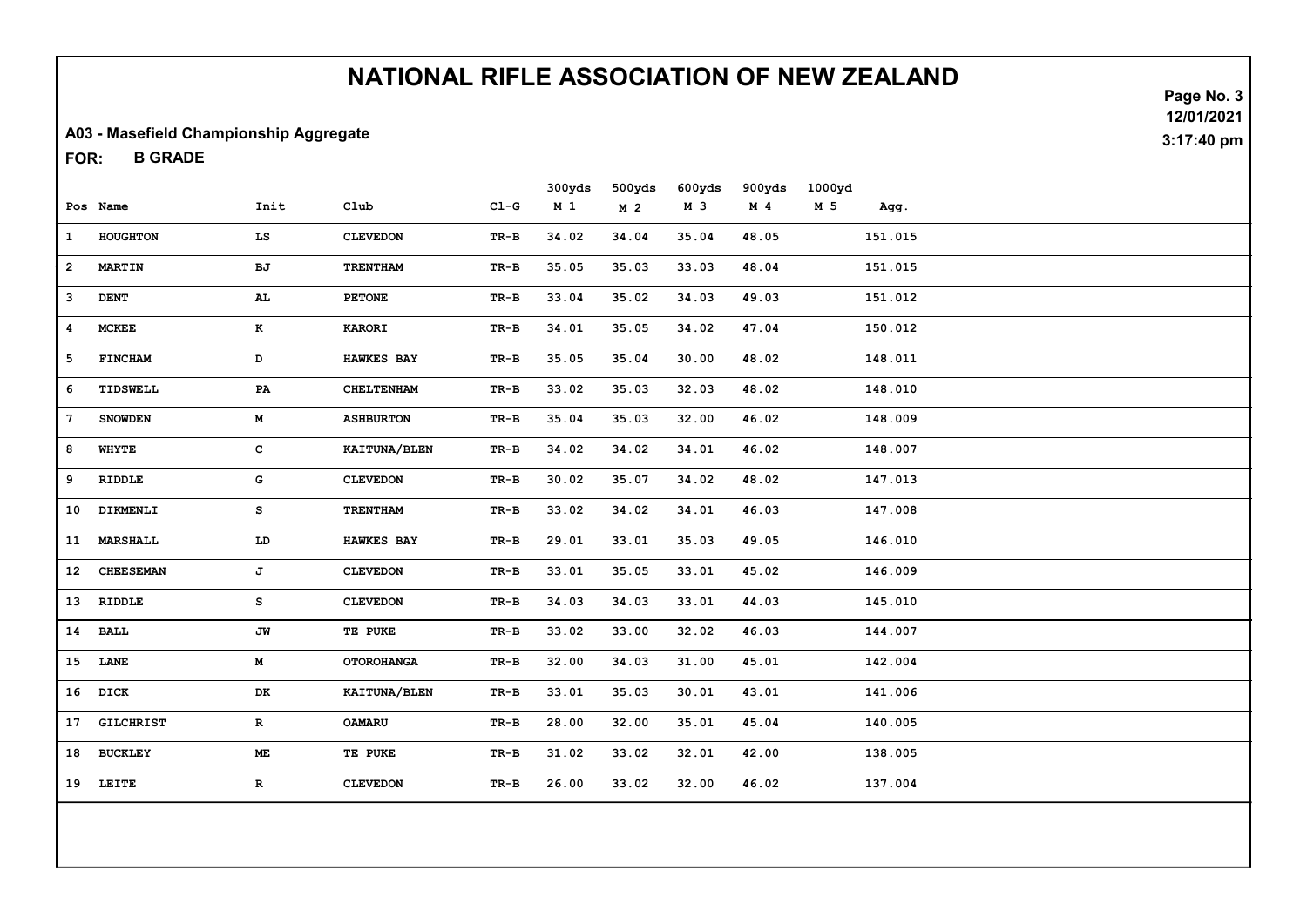#### A03 - Masefield Championship Aggregate

B GRADE FOR:

|                 |                  |              |                   |        | 300yds         | 500yds         | 600yds | 900yds         | 1000yd |         |  |
|-----------------|------------------|--------------|-------------------|--------|----------------|----------------|--------|----------------|--------|---------|--|
|                 | Pos Name         | Init         | C1ub              | $C1-G$ | M <sub>1</sub> | M <sub>2</sub> | M 3    | M <sub>4</sub> | M 5    | Agg.    |  |
| $\mathbf{1}$    | HOUGHTON         | LS           | <b>CLEVEDON</b>   | TR-B   | 34.02          | 34.04          | 35.04  | 48.05          |        | 151.015 |  |
| $\overline{a}$  | <b>MARTIN</b>    | BJ           | <b>TRENTHAM</b>   | $TR-B$ | 35.05          | 35.03          | 33.03  | 48.04          |        | 151.015 |  |
| 3               | <b>DENT</b>      | AL.          | <b>PETONE</b>     | TR-B   | 33.04          | 35.02          | 34.03  | 49.03          |        | 151.012 |  |
| 4               | <b>MCKEE</b>     | K            | <b>KARORI</b>     | TR-B   | 34.01          | 35.05          | 34.02  | 47.04          |        | 150.012 |  |
| 5               | <b>FINCHAM</b>   | D            | <b>HAWKES BAY</b> | TR-B   | 35.05          | 35.04          | 30.00  | 48.02          |        | 148.011 |  |
| 6               | TIDSWELL         | PA           | <b>CHELTENHAM</b> | $TR-B$ | 33.02          | 35.03          | 32.03  | 48.02          |        | 148.010 |  |
| $7\phantom{.0}$ | <b>SNOWDEN</b>   | M            | <b>ASHBURTON</b>  | $TR-B$ | 35.04          | 35.03          | 32.00  | 46.02          |        | 148.009 |  |
| 8               | WHYTE            | $\mathbf{C}$ | KAITUNA/BLEN      | TR-B   | 34.02          | 34.02          | 34.01  | 46.02          |        | 148.007 |  |
| 9               | <b>RIDDLE</b>    | G            | <b>CLEVEDON</b>   | TR-B   | 30.02          | 35.07          | 34.02  | 48.02          |        | 147.013 |  |
| 10              | DIKMENLI         | s            | <b>TRENTHAM</b>   | TR-B   | 33.02          | 34.02          | 34.01  | 46.03          |        | 147.008 |  |
| 11              | <b>MARSHALL</b>  | LD           | <b>HAWKES BAY</b> | $TR-B$ | 29.01          | 33.01          | 35.03  | 49.05          |        | 146.010 |  |
| 12              | <b>CHEESEMAN</b> | J            | <b>CLEVEDON</b>   | TR-B   | 33.01          | 35.05          | 33.01  | 45.02          |        | 146.009 |  |
|                 | 13 RIDDLE        | s            | <b>CLEVEDON</b>   | TR-B   | 34.03          | 34.03          | 33.01  | 44.03          |        | 145.010 |  |
|                 | 14 BALL          | JW           | TE PUKE           | TR-B   | 33.02          | 33.00          | 32.02  | 46.03          |        | 144.007 |  |
|                 | 15 LANE          | M            | <b>OTOROHANGA</b> | TR-B   | 32.00          | 34.03          | 31.00  | 45.01          |        | 142.004 |  |
|                 | 16 DICK          | DK           | KAITUNA/BLEN      | TR-B   | 33.01          | 35.03          | 30.01  | 43.01          |        | 141.006 |  |
| 17              | <b>GILCHRIST</b> | $\mathbf{R}$ | <b>OAMARU</b>     | TR-B   | 28.00          | 32.00          | 35.01  | 45.04          |        | 140.005 |  |
|                 | 18 BUCKLEY       | ME.          | TE PUKE           | TR-B   | 31.02          | 33.02          | 32.01  | 42.00          |        | 138.005 |  |
|                 | 19 LEITE         | $\mathbf R$  | <b>CLEVEDON</b>   | TR-B   | 26.00          | 33.02          | 32.00  | 46.02          |        | 137.004 |  |
|                 |                  |              |                   |        |                |                |        |                |        |         |  |
|                 |                  |              |                   |        |                |                |        |                |        |         |  |

Page No. 3 12/01/2021 3:17:40 pm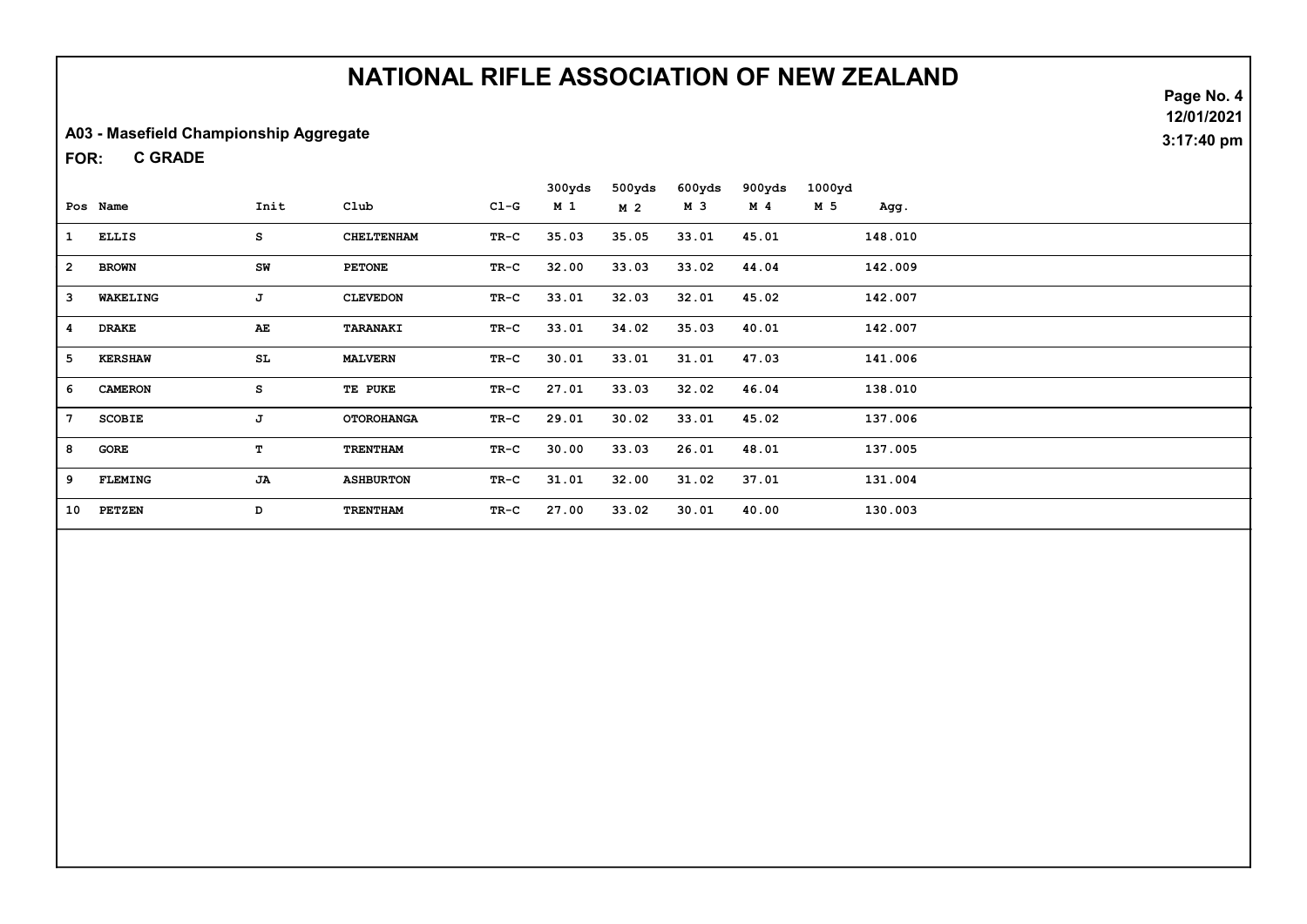#### A03 - Masefield Championship Aggregate

C GRADE FOR:

|                |                |      |                   |        | 300yds | 500yds         | 600yds | 900yds | 1000yd |         |
|----------------|----------------|------|-------------------|--------|--------|----------------|--------|--------|--------|---------|
|                | Pos Name       | Init | Club              | $C1-G$ | M 1    | M <sub>2</sub> | м з    | M 4    | M 5    | Agg.    |
| 1              | <b>ELLIS</b>   | s    | <b>CHELTENHAM</b> | TR-C   | 35.03  | 35.05          | 33.01  | 45.01  |        | 148.010 |
| $\overline{a}$ | <b>BROWN</b>   | SW   | <b>PETONE</b>     | TR-C   | 32.00  | 33.03          | 33.02  | 44.04  |        | 142.009 |
| 3              | WAKELING       | J    | <b>CLEVEDON</b>   | TR-C   | 33.01  | 32.03          | 32.01  | 45.02  |        | 142.007 |
| $\overline{4}$ | <b>DRAKE</b>   | AE   | <b>TARANAKI</b>   | TR-C   | 33.01  | 34.02          | 35.03  | 40.01  |        | 142.007 |
| 5              | <b>KERSHAW</b> | SL   | <b>MALVERN</b>    | TR-C   | 30.01  | 33.01          | 31.01  | 47.03  |        | 141.006 |
| 6              | <b>CAMERON</b> | s    | TE PUKE           | TR-C   | 27.01  | 33.03          | 32.02  | 46.04  |        | 138.010 |
| 7              | <b>SCOBIE</b>  | J    | <b>OTOROHANGA</b> | TR-C   | 29.01  | 30.02          | 33.01  | 45.02  |        | 137.006 |
| 8              | GORE           | т    | <b>TRENTHAM</b>   | $TR-C$ | 30.00  | 33.03          | 26.01  | 48.01  |        | 137.005 |
| 9              | <b>FLEMING</b> | JA   | <b>ASHBURTON</b>  | $TR-C$ | 31.01  | 32.00          | 31.02  | 37.01  |        | 131.004 |
| 10             | <b>PETZEN</b>  | D    | <b>TRENTHAM</b>   | TR-C   | 27.00  | 33.02          | 30.01  | 40.00  |        | 130.003 |

Page No. 4 12/01/2021 3:17:40 pm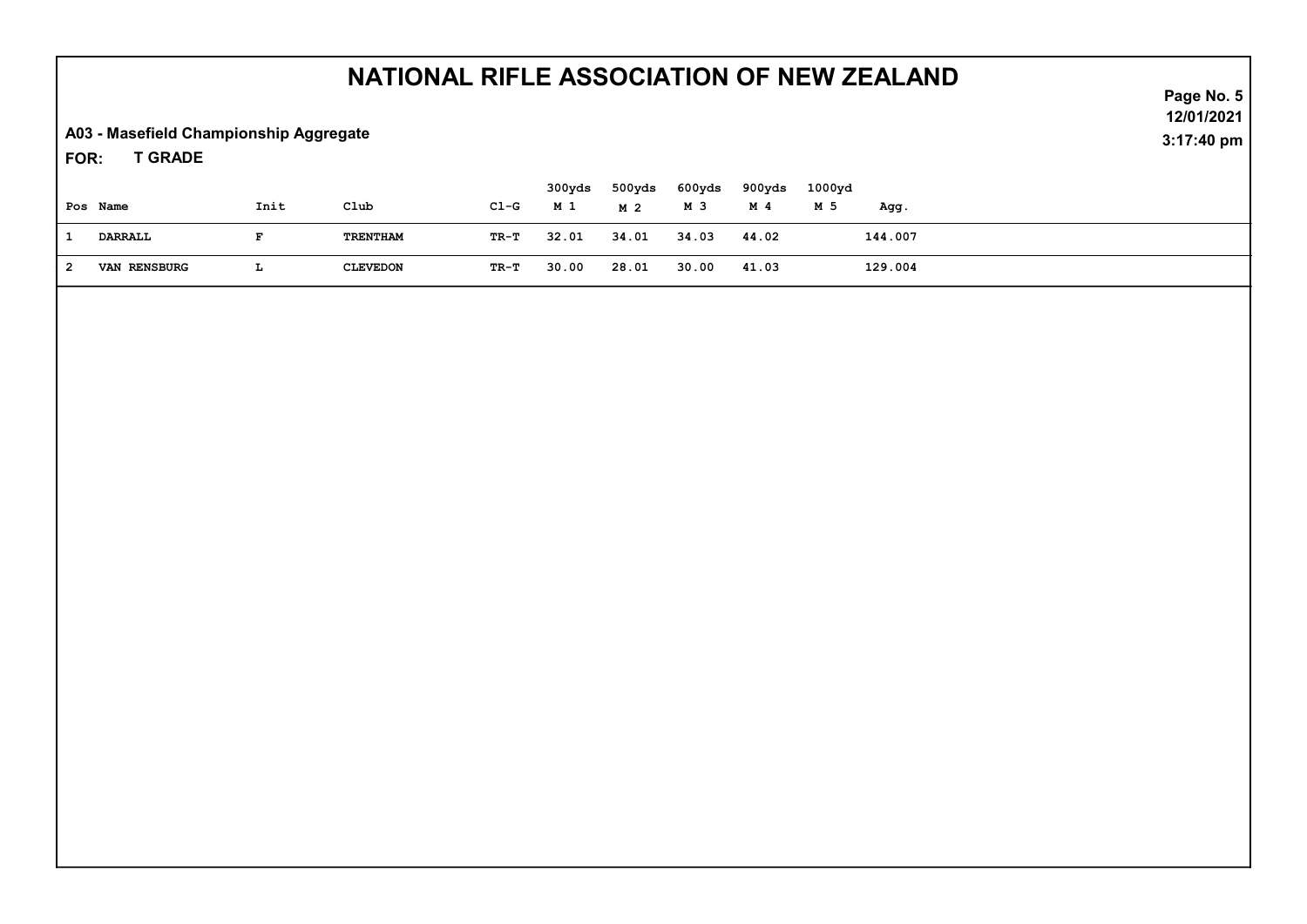A03 - Masefield Championship Aggregate

T GRADE FOR:

| Pos Name            | Init | Club            | $C1-G$ | 300yds<br>M 1 | 500yds<br>M 2 | 600yds<br>M 3 | 900yds<br>M 4 | 1000yd<br>M 5 | Agg.    |  |  |
|---------------------|------|-----------------|--------|---------------|---------------|---------------|---------------|---------------|---------|--|--|
| DARRALL             |      | TRENTHAM        | TR-T   | 32.01         | 34.01         | 34.03         | 44.02         |               | 144.007 |  |  |
| <b>VAN RENSBURG</b> |      | <b>CLEVEDON</b> | TR-T   | 30.00         | 28.01         | 30.00         | 41.03         |               | 129.004 |  |  |

Page No. 5 12/01/2021 3:17:40 pm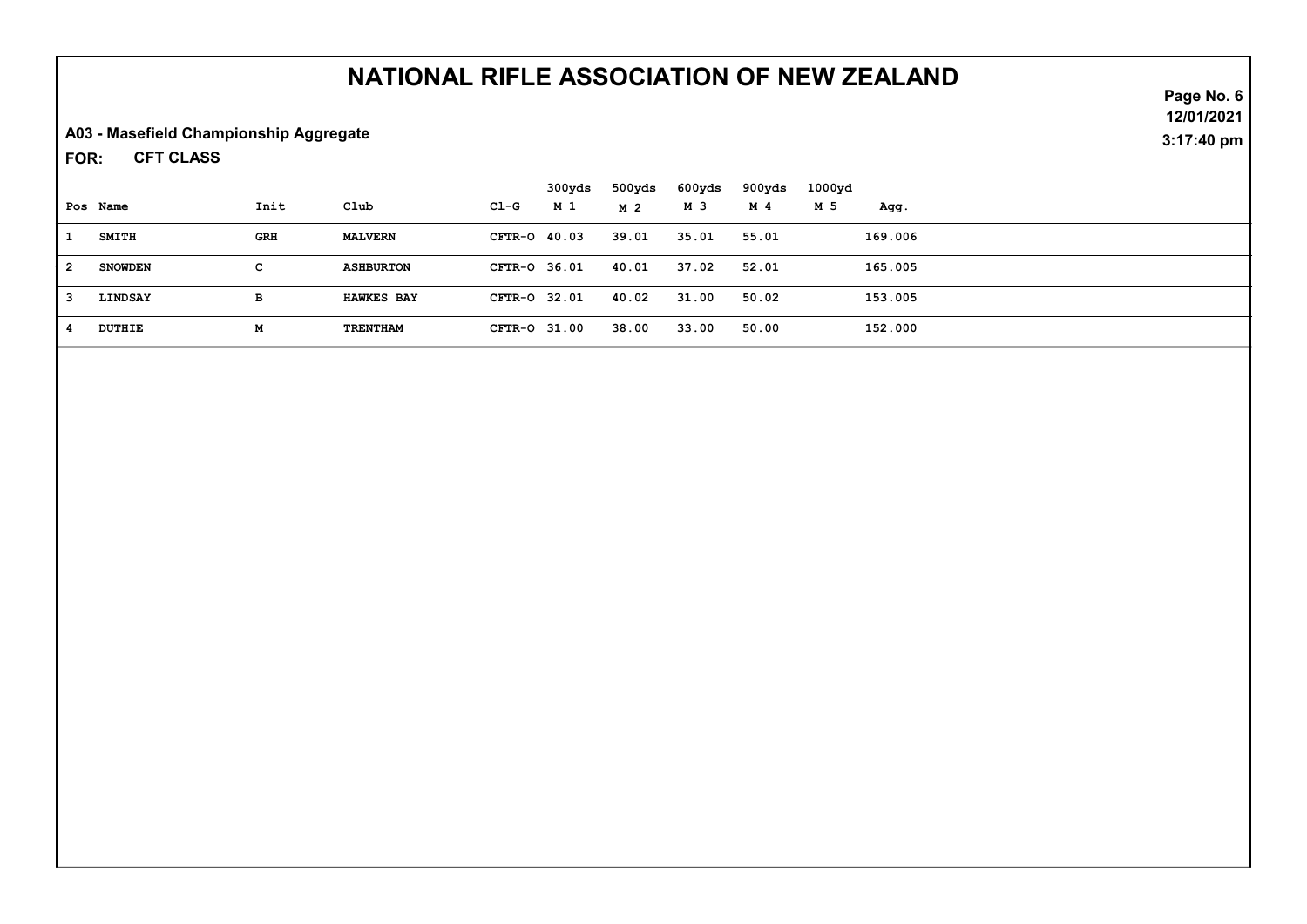A03 - Masefield Championship Aggregate

CFT CLASS FOR:

|    |                |            |                   |              | 300yds | 500yds | 600yds | 900yds | 1000yd |         |  |  |
|----|----------------|------------|-------------------|--------------|--------|--------|--------|--------|--------|---------|--|--|
|    | Pos Name       | Init       | Club              | $CL-G$       | M 1    | M 2    | M 3    | M 4    | M 5    | Agg.    |  |  |
|    | <b>SMITH</b>   | <b>GRH</b> | <b>MALVERN</b>    | CFTR-0 40.03 |        | 39.01  | 35.01  | 55.01  |        | 169.006 |  |  |
| -2 | <b>SNOWDEN</b> | c          | <b>ASHBURTON</b>  | CFTR-0 36.01 |        | 40.01  | 37.02  | 52.01  |        | 165.005 |  |  |
| -3 | LINDSAY        | в          | <b>HAWKES BAY</b> | CFTR-0 32.01 |        | 40.02  | 31.00  | 50.02  |        | 153.005 |  |  |
|    | <b>DUTHIE</b>  | М          | <b>TRENTHAM</b>   | CFTR-0 31.00 |        | 38.00  | 33.00  | 50.00  |        | 152.000 |  |  |

Page No. 6 12/01/2021 3:17:40 pm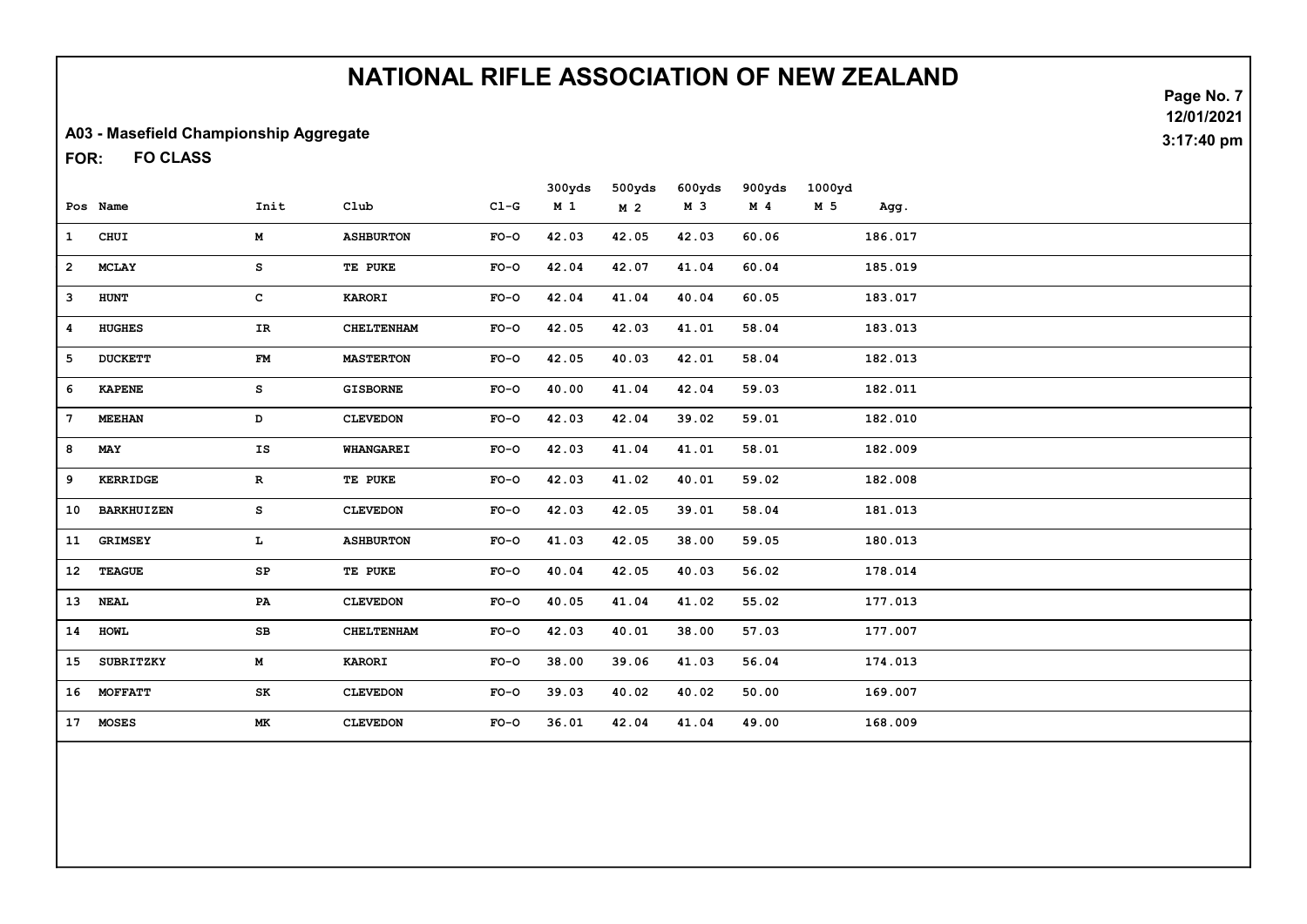#### A03 - Masefield Championship Aggregate

FO CLASS FOR:

|                 |                   |              |                   |        | 300yds         | 500yds         | 600yds | 900yds         | 1000yd |         |
|-----------------|-------------------|--------------|-------------------|--------|----------------|----------------|--------|----------------|--------|---------|
|                 | Pos Name          | Init         | C1ub              | $C1-G$ | M <sub>1</sub> | M <sub>2</sub> | M 3    | M <sub>4</sub> | M 5    | Agg.    |
| $\mathbf{1}$    | CHUI              | M            | <b>ASHBURTON</b>  | $FO-O$ | 42.03          | 42.05          | 42.03  | 60.06          |        | 186.017 |
| $\overline{2}$  | <b>MCLAY</b>      | s            | TE PUKE           | $FO-O$ | 42.04          | 42.07          | 41.04  | 60.04          |        | 185.019 |
| 3               | <b>HUNT</b>       | $\mathbf{C}$ | <b>KARORI</b>     | $FO-O$ | 42.04          | 41.04          | 40.04  | 60.05          |        | 183.017 |
| 4               | <b>HUGHES</b>     | IR           | CHELTENHAM        | $FO-O$ | 42.05          | 42.03          | 41.01  | 58.04          |        | 183.013 |
| 5               | <b>DUCKETT</b>    | ${\bf FM}$   | <b>MASTERTON</b>  | $FO-O$ | 42.05          | 40.03          | 42.01  | 58.04          |        | 182.013 |
| 6               | <b>KAPENE</b>     | s            | <b>GISBORNE</b>   | $FO-O$ | 40.00          | 41.04          | 42.04  | 59.03          |        | 182.011 |
| 7               | <b>MEEHAN</b>     | D            | <b>CLEVEDON</b>   | $FO-O$ | 42.03          | 42.04          | 39.02  | 59.01          |        | 182.010 |
| 8               | MAY               | IS           | <b>WHANGAREI</b>  | $FO-O$ | 42.03          | 41.04          | 41.01  | 58.01          |        | 182.009 |
| 9               | KERRIDGE          | $\mathbf{R}$ | TE PUKE           | $FO-O$ | 42.03          | 41.02          | 40.01  | 59.02          |        | 182.008 |
| 10              | <b>BARKHUIZEN</b> | s            | <b>CLEVEDON</b>   | $FO-O$ | 42.03          | 42.05          | 39.01  | 58.04          |        | 181.013 |
| 11              | <b>GRIMSEY</b>    | т.           | <b>ASHBURTON</b>  | $FO-O$ | 41.03          | 42.05          | 38.00  | 59.05          |        | 180.013 |
| 12              | <b>TEAGUE</b>     | SP           | TE PUKE           | $FO-O$ | 40.04          | 42.05          | 40.03  | 56.02          |        | 178.014 |
| 13              | <b>NEAL</b>       | PA           | <b>CLEVEDON</b>   | $FO-O$ | 40.05          | 41.04          | 41.02  | 55.02          |        | 177.013 |
| 14              | <b>HOWL</b>       | SB           | <b>CHELTENHAM</b> | $FO-O$ | 42.03          | 40.01          | 38.00  | 57.03          |        | 177.007 |
| 15              | <b>SUBRITZKY</b>  | M            | <b>KARORI</b>     | $FO-O$ | 38.00          | 39.06          | 41.03  | 56.04          |        | 174.013 |
|                 | 16 MOFFATT        | SK           | <b>CLEVEDON</b>   | $FO-O$ | 39.03          | 40.02          | 40.02  | 50.00          |        | 169.007 |
| 17 <sub>1</sub> | <b>MOSES</b>      | МK           | <b>CLEVEDON</b>   | $FO-O$ | 36.01          | 42.04          | 41.04  | 49.00          |        | 168.009 |
|                 |                   |              |                   |        |                |                |        |                |        |         |

Page No. 7 12/01/2021 3:17:40 pm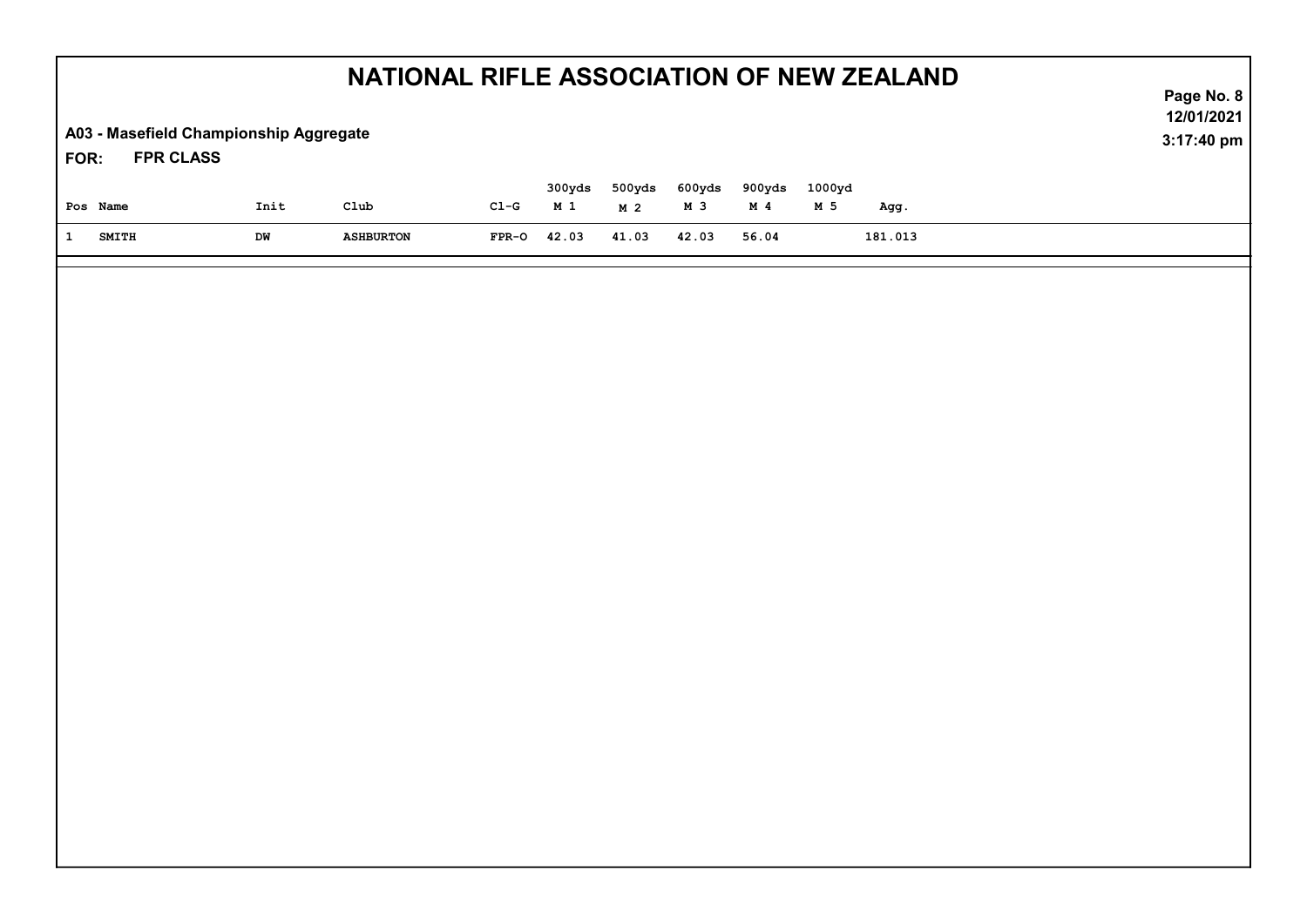| NATIONAL RIFLE ASSOCIATION OF NEW ZEALAND                          |      |                    |         |                          |                          |               |                 |               |         | Page No. 8               |
|--------------------------------------------------------------------|------|--------------------|---------|--------------------------|--------------------------|---------------|-----------------|---------------|---------|--------------------------|
| A03 - Masefield Championship Aggregate<br><b>FPR CLASS</b><br>FOR: |      |                    |         |                          |                          |               |                 |               |         | 12/01/2021<br>3:17:40 pm |
| Pos Name                                                           | Init | $_{\texttt{Club}}$ | $CL-G$  | 300yds<br>M <sub>1</sub> | 500yds<br>M <sub>2</sub> | 600yds<br>M 3 | 900yds<br>$M$ 4 | 1000yd<br>M 5 | Agg.    |                          |
| $\mathbf{1}$<br><b>SMITH</b>                                       | DW   | <b>ASHBURTON</b>   | $FPR-O$ | 42.03                    | 41.03                    | 42.03         | 56.04           |               | 181.013 |                          |
|                                                                    |      |                    |         |                          |                          |               |                 |               |         |                          |
|                                                                    |      |                    |         |                          |                          |               |                 |               |         |                          |
|                                                                    |      |                    |         |                          |                          |               |                 |               |         |                          |
|                                                                    |      |                    |         |                          |                          |               |                 |               |         |                          |
|                                                                    |      |                    |         |                          |                          |               |                 |               |         |                          |
|                                                                    |      |                    |         |                          |                          |               |                 |               |         |                          |
|                                                                    |      |                    |         |                          |                          |               |                 |               |         |                          |
|                                                                    |      |                    |         |                          |                          |               |                 |               |         |                          |
|                                                                    |      |                    |         |                          |                          |               |                 |               |         |                          |
|                                                                    |      |                    |         |                          |                          |               |                 |               |         |                          |
|                                                                    |      |                    |         |                          |                          |               |                 |               |         |                          |
|                                                                    |      |                    |         |                          |                          |               |                 |               |         |                          |
|                                                                    |      |                    |         |                          |                          |               |                 |               |         |                          |
|                                                                    |      |                    |         |                          |                          |               |                 |               |         |                          |
|                                                                    |      |                    |         |                          |                          |               |                 |               |         |                          |
|                                                                    |      |                    |         |                          |                          |               |                 |               |         |                          |
|                                                                    |      |                    |         |                          |                          |               |                 |               |         |                          |
|                                                                    |      |                    |         |                          |                          |               |                 |               |         |                          |